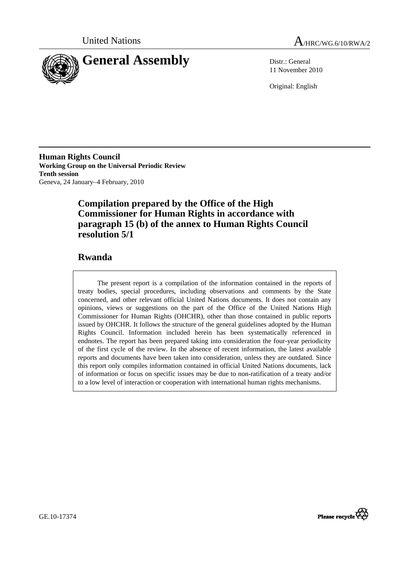



11 November 2010

Original: English

**Human Rights Council Working Group on the Universal Periodic Review Tenth session**  Geneva, 24 January–4 February, 2010

## **Compilation prepared by the Office of the High Commissioner for Human Rights in accordance with paragraph 15 (b) of the annex to Human Rights Council resolution 5/1**

## **Rwanda**

The present report is a compilation of the information contained in the reports of treaty bodies, special procedures, including observations and comments by the State concerned, and other relevant official United Nations documents. It does not contain any opinions, views or suggestions on the part of the Office of the United Nations High Commissioner for Human Rights (OHCHR), other than those contained in public reports issued by OHCHR. It follows the structure of the general guidelines adopted by the Human Rights Council. Information included herein has been systematically referenced in endnotes. The report has been prepared taking into consideration the four-year periodicity of the first cycle of the review. In the absence of recent information, the latest available reports and documents have been taken into consideration, unless they are outdated. Since this report only compiles information contained in official United Nations documents, lack of information or focus on specific issues may be due to non-ratification of a treaty and/or to a low level of interaction or cooperation with international human rights mechanisms.

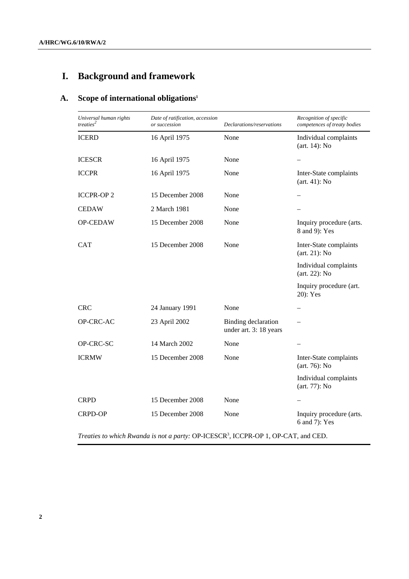# **I. Background and framework**

## **A. Scope of international obligations1**

| Universal human rights<br>treaties <sup>2</sup> | Date of ratification, accession<br>or succession | Declarations/reservations                                        | Recognition of specific<br>competences of treaty bodies |
|-------------------------------------------------|--------------------------------------------------|------------------------------------------------------------------|---------------------------------------------------------|
| <b>ICERD</b>                                    | 16 April 1975                                    | None                                                             | Individual complaints<br>$(art. 14)$ : No               |
| <b>ICESCR</b>                                   | 16 April 1975                                    | None                                                             |                                                         |
| <b>ICCPR</b>                                    | 16 April 1975                                    | None                                                             | Inter-State complaints<br>$(art. 41)$ : No              |
| <b>ICCPR-OP2</b>                                | 15 December 2008                                 | None                                                             |                                                         |
| <b>CEDAW</b>                                    | 2 March 1981                                     | None                                                             |                                                         |
| <b>OP-CEDAW</b>                                 | 15 December 2008                                 | None                                                             | Inquiry procedure (arts.<br>8 and 9): Yes               |
| <b>CAT</b>                                      | 15 December 2008                                 | None                                                             | Inter-State complaints<br>$(art. 21)$ : No              |
|                                                 |                                                  |                                                                  | Individual complaints<br>$(art. 22)$ : No               |
|                                                 |                                                  |                                                                  | Inquiry procedure (art.<br>20): Yes                     |
| <b>CRC</b>                                      | 24 January 1991                                  | None                                                             |                                                         |
| OP-CRC-AC                                       | 23 April 2002                                    | Binding declaration<br>under art. 3: 18 years                    |                                                         |
| OP-CRC-SC                                       | 14 March 2002                                    | None                                                             |                                                         |
| <b>ICRMW</b>                                    | 15 December 2008                                 | None                                                             | Inter-State complaints<br>$(art. 76)$ : No              |
|                                                 |                                                  |                                                                  | Individual complaints<br>$(art. 77)$ : No               |
| <b>CRPD</b>                                     | 15 December 2008                                 | None                                                             |                                                         |
| <b>CRPD-OP</b>                                  | 15 December 2008                                 | None                                                             | Inquiry procedure (arts.<br>6 and 7): Yes               |
| $1 \cdot 1$ p $1 \cdot 1$                       |                                                  | $OD$ IGERCE <sup>3</sup> IGODD $OD 1$ , $OD$ $G$ $H$ $I$ , $GED$ |                                                         |

*Treaties to which Rwanda is not a party:* OP-ICESCR3 , ICCPR-OP 1, OP-CAT, and CED.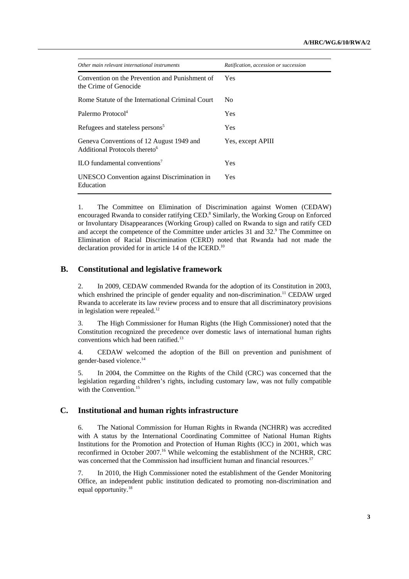| Other main relevant international instruments                                         | Ratification, accession or succession |  |
|---------------------------------------------------------------------------------------|---------------------------------------|--|
| Convention on the Prevention and Punishment of<br>the Crime of Genocide               | <b>Yes</b>                            |  |
| Rome Statute of the International Criminal Court                                      | No.                                   |  |
| Palermo Protocol <sup>4</sup>                                                         | <b>Yes</b>                            |  |
| Refugees and stateless persons <sup>5</sup>                                           | Yes                                   |  |
| Geneva Conventions of 12 August 1949 and<br>Additional Protocols thereto <sup>6</sup> | Yes, except APIII                     |  |
| ILO fundamental conventions <sup>7</sup>                                              | Yes                                   |  |
| UNESCO Convention against Discrimination in<br>Education                              | <b>Yes</b>                            |  |

1. The Committee on Elimination of Discrimination against Women (CEDAW) encouraged Rwanda to consider ratifying CED.<sup>8</sup> Similarly, the Working Group on Enforced or Involuntary Disappearances (Working Group) called on Rwanda to sign and ratify CED and accept the competence of the Committee under articles 31 and 32.<sup>9</sup> The Committee on Elimination of Racial Discrimination (CERD) noted that Rwanda had not made the declaration provided for in article 14 of the ICERD.<sup>10</sup>

### **B. Constitutional and legislative framework**

2. In 2009, CEDAW commended Rwanda for the adoption of its Constitution in 2003, which enshrined the principle of gender equality and non-discrimination.<sup>11</sup> CEDAW urged Rwanda to accelerate its law review process and to ensure that all discriminatory provisions in legislation were repealed. $12$ 

3. The High Commissioner for Human Rights (the High Commissioner) noted that the Constitution recognized the precedence over domestic laws of international human rights conventions which had been ratified.<sup>13</sup>

4. CEDAW welcomed the adoption of the Bill on prevention and punishment of gender-based violence.14

5. In 2004, the Committee on the Rights of the Child (CRC) was concerned that the legislation regarding children's rights, including customary law, was not fully compatible with the Convention.<sup>15</sup>

#### **C. Institutional and human rights infrastructure**

6. The National Commission for Human Rights in Rwanda (NCHRR) was accredited with A status by the International Coordinating Committee of National Human Rights Institutions for the Promotion and Protection of Human Rights (ICC) in 2001, which was reconfirmed in October 2007.<sup>16</sup> While welcoming the establishment of the NCHRR, CRC was concerned that the Commission had insufficient human and financial resources.<sup>17</sup>

7. In 2010, the High Commissioner noted the establishment of the Gender Monitoring Office, an independent public institution dedicated to promoting non-discrimination and equal opportunity.<sup>18</sup>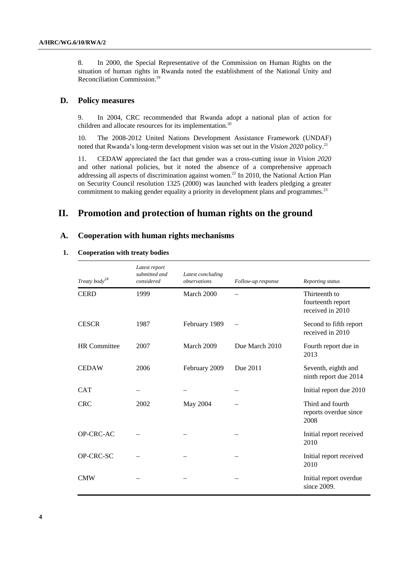8. In 2000, the Special Representative of the Commission on Human Rights on the situation of human rights in Rwanda noted the establishment of the National Unity and Reconciliation Commission.19

#### **D. Policy measures**

9. In 2004, CRC recommended that Rwanda adopt a national plan of action for children and allocate resources for its implementation.<sup>20</sup>

10. The 2008-2012 United Nations Development Assistance Framework (UNDAF) noted that Rwanda's long-term development vision was set out in the *Vision 2020* policy.<sup>21</sup>

11. CEDAW appreciated the fact that gender was a cross-cutting issue in *Vision 2020* and other national policies, but it noted the absence of a comprehensive approach addressing all aspects of discrimination against women.<sup>22</sup> In 2010, the National Action Plan on Security Council resolution 1325 (2000) was launched with leaders pledging a greater commitment to making gender equality a priority in development plans and programmes.<sup>23</sup>

## **II. Promotion and protection of human rights on the ground**

#### **A. Cooperation with human rights mechanisms**

#### **1. Cooperation with treaty bodies**

| Treaty body <sup>24</sup> | Latest report<br>submitted and<br>considered | Latest concluding<br>observations | Follow-up response | Reporting status                                       |
|---------------------------|----------------------------------------------|-----------------------------------|--------------------|--------------------------------------------------------|
| <b>CERD</b>               | 1999                                         | March 2000                        |                    | Thirteenth to<br>fourteenth report<br>received in 2010 |
| <b>CESCR</b>              | 1987                                         | February 1989                     |                    | Second to fifth report<br>received in 2010             |
| <b>HR</b> Committee       | 2007                                         | March 2009                        | Due March 2010     | Fourth report due in<br>2013                           |
| <b>CEDAW</b>              | 2006                                         | February 2009                     | Due 2011           | Seventh, eighth and<br>ninth report due 2014           |
| <b>CAT</b>                |                                              |                                   |                    | Initial report due 2010                                |
| <b>CRC</b>                | 2002                                         | May 2004                          |                    | Third and fourth<br>reports overdue since<br>2008      |
| OP-CRC-AC                 |                                              |                                   |                    | Initial report received<br>2010                        |
| OP-CRC-SC                 |                                              |                                   |                    | Initial report received<br>2010                        |
| <b>CMW</b>                |                                              |                                   |                    | Initial report overdue<br>since $2009$ .               |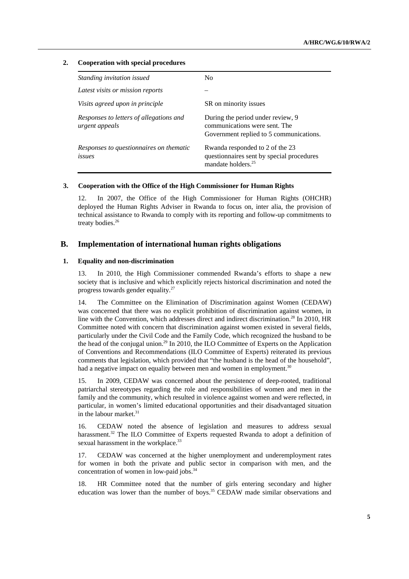#### **2. Cooperation with special procedures**

| Standing invitation issued                                | N <sub>0</sub>                                                                                                 |
|-----------------------------------------------------------|----------------------------------------------------------------------------------------------------------------|
|                                                           |                                                                                                                |
| Latest visits or mission reports                          |                                                                                                                |
| Visits agreed upon in principle                           | SR on minority issues                                                                                          |
| Responses to letters of allegations and<br>urgent appeals | During the period under review, 9<br>communications were sent. The<br>Government replied to 5 communications.  |
| Responses to questionnaires on thematic<br>issues         | Rwanda responded to 2 of the 23<br>questionnaires sent by special procedures<br>mandate holders. <sup>25</sup> |

#### **3. Cooperation with the Office of the High Commissioner for Human Rights**

12. In 2007, the Office of the High Commissioner for Human Rights (OHCHR) deployed the Human Rights Adviser in Rwanda to focus on, inter alia, the provision of technical assistance to Rwanda to comply with its reporting and follow-up commitments to treaty bodies.<sup>26</sup>

#### **B. Implementation of international human rights obligations**

#### **1. Equality and non-discrimination**

13. In 2010, the High Commissioner commended Rwanda's efforts to shape a new society that is inclusive and which explicitly rejects historical discrimination and noted the progress towards gender equality.27

14. The Committee on the Elimination of Discrimination against Women (CEDAW) was concerned that there was no explicit prohibition of discrimination against women, in line with the Convention, which addresses direct and indirect discrimination.<sup>28</sup> In 2010, HR Committee noted with concern that discrimination against women existed in several fields, particularly under the Civil Code and the Family Code, which recognized the husband to be the head of the conjugal union.<sup>29</sup> In 2010, the ILO Committee of Experts on the Application of Conventions and Recommendations (ILO Committee of Experts) reiterated its previous comments that legislation, which provided that "the husband is the head of the household", had a negative impact on equality between men and women in employment.<sup>30</sup>

15. In 2009, CEDAW was concerned about the persistence of deep-rooted, traditional patriarchal stereotypes regarding the role and responsibilities of women and men in the family and the community, which resulted in violence against women and were reflected, in particular, in women's limited educational opportunities and their disadvantaged situation in the labour market. $31$ 

16. CEDAW noted the absence of legislation and measures to address sexual harassment.<sup>32</sup> The ILO Committee of Experts requested Rwanda to adopt a definition of sexual harassment in the workplace.<sup>33</sup>

17. CEDAW was concerned at the higher unemployment and underemployment rates for women in both the private and public sector in comparison with men, and the concentration of women in low-paid jobs.<sup>34</sup>

18. HR Committee noted that the number of girls entering secondary and higher education was lower than the number of boys.<sup>35</sup> CEDAW made similar observations and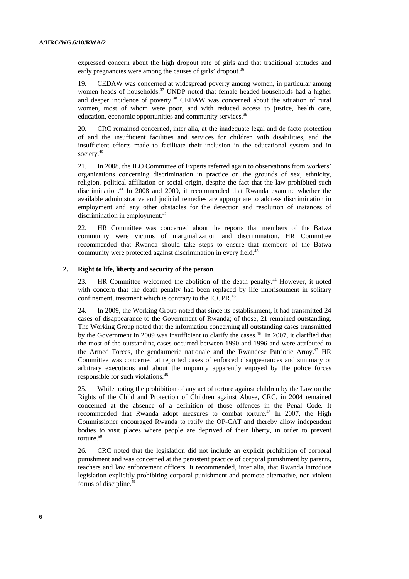expressed concern about the high dropout rate of girls and that traditional attitudes and early pregnancies were among the causes of girls' dropout.<sup>36</sup>

19. CEDAW was concerned at widespread poverty among women, in particular among women heads of households.<sup>37</sup> UNDP noted that female headed households had a higher and deeper incidence of poverty.<sup>38</sup> CEDAW was concerned about the situation of rural women, most of whom were poor, and with reduced access to justice, health care, education, economic opportunities and community services.<sup>39</sup>

20. CRC remained concerned, inter alia, at the inadequate legal and de facto protection of and the insufficient facilities and services for children with disabilities, and the insufficient efforts made to facilitate their inclusion in the educational system and in society.<sup>40</sup>

21. In 2008, the ILO Committee of Experts referred again to observations from workers' organizations concerning discrimination in practice on the grounds of sex, ethnicity, religion, political affiliation or social origin, despite the fact that the law prohibited such discrimination.41 In 2008 and 2009, it recommended that Rwanda examine whether the available administrative and judicial remedies are appropriate to address discrimination in employment and any other obstacles for the detection and resolution of instances of discrimination in employment.<sup>42</sup>

22. HR Committee was concerned about the reports that members of the Batwa community were victims of marginalization and discrimination. HR Committee recommended that Rwanda should take steps to ensure that members of the Batwa community were protected against discrimination in every field.<sup>43</sup>

#### **2. Right to life, liberty and security of the person**

23. HR Committee welcomed the abolition of the death penalty.<sup>44</sup> However, it noted with concern that the death penalty had been replaced by life imprisonment in solitary confinement, treatment which is contrary to the ICCPR.<sup>45</sup>

24. In 2009, the Working Group noted that since its establishment, it had transmitted 24 cases of disappearance to the Government of Rwanda; of those, 21 remained outstanding. The Working Group noted that the information concerning all outstanding cases transmitted by the Government in 2009 was insufficient to clarify the cases.<sup>46</sup> In 2007, it clarified that the most of the outstanding cases occurred between 1990 and 1996 and were attributed to the Armed Forces, the gendarmerie nationale and the Rwandese Patriotic Army.<sup>47</sup> HR Committee was concerned at reported cases of enforced disappearances and summary or arbitrary executions and about the impunity apparently enjoyed by the police forces responsible for such violations.48

25. While noting the prohibition of any act of torture against children by the Law on the Rights of the Child and Protection of Children against Abuse, CRC, in 2004 remained concerned at the absence of a definition of those offences in the Penal Code. It recommended that Rwanda adopt measures to combat torture.<sup>49</sup> In 2007, the High Commissioner encouraged Rwanda to ratify the OP-CAT and thereby allow independent bodies to visit places where people are deprived of their liberty, in order to prevent torture.<sup>50</sup>

26. CRC noted that the legislation did not include an explicit prohibition of corporal punishment and was concerned at the persistent practice of corporal punishment by parents, teachers and law enforcement officers. It recommended, inter alia, that Rwanda introduce legislation explicitly prohibiting corporal punishment and promote alternative, non-violent forms of discipline.<sup>5</sup>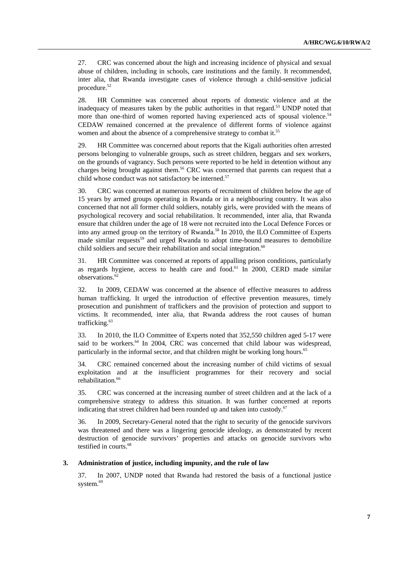27. CRC was concerned about the high and increasing incidence of physical and sexual abuse of children, including in schools, care institutions and the family. It recommended, inter alia, that Rwanda investigate cases of violence through a child-sensitive judicial procedure.<sup>52</sup>

28. HR Committee was concerned about reports of domestic violence and at the inadequacy of measures taken by the public authorities in that regard.<sup>53</sup> UNDP noted that more than one-third of women reported having experienced acts of spousal violence.<sup>54</sup> CEDAW remained concerned at the prevalence of different forms of violence against women and about the absence of a comprehensive strategy to combat it.<sup>55</sup>

29. HR Committee was concerned about reports that the Kigali authorities often arrested persons belonging to vulnerable groups, such as street children, beggars and sex workers, on the grounds of vagrancy. Such persons were reported to be held in detention without any charges being brought against them.<sup>56</sup> CRC was concerned that parents can request that a child whose conduct was not satisfactory be interned.<sup>57</sup>

30. CRC was concerned at numerous reports of recruitment of children below the age of 15 years by armed groups operating in Rwanda or in a neighbouring country. It was also concerned that not all former child soldiers, notably girls, were provided with the means of psychological recovery and social rehabilitation. It recommended, inter alia, that Rwanda ensure that children under the age of 18 were not recruited into the Local Defence Forces or into any armed group on the territory of Rwanda.<sup>58</sup> In 2010, the ILO Committee of Experts made similar requests<sup>59</sup> and urged Rwanda to adopt time-bound measures to demobilize child soldiers and secure their rehabilitation and social integration.<sup>60</sup>

31. HR Committee was concerned at reports of appalling prison conditions, particularly as regards hygiene, access to health care and food.<sup>61</sup> In 2000, CERD made similar observations.<sup>62</sup>

32. In 2009, CEDAW was concerned at the absence of effective measures to address human trafficking. It urged the introduction of effective prevention measures, timely prosecution and punishment of traffickers and the provision of protection and support to victims. It recommended, inter alia, that Rwanda address the root causes of human trafficking.<sup>63</sup>

33. In 2010, the ILO Committee of Experts noted that 352,550 children aged 5-17 were said to be workers.<sup>64</sup> In 2004, CRC was concerned that child labour was widespread, particularly in the informal sector, and that children might be working long hours.<sup>65</sup>

34. CRC remained concerned about the increasing number of child victims of sexual exploitation and at the insufficient programmes for their recovery and social rehabilitation.<sup>66</sup>

35. CRC was concerned at the increasing number of street children and at the lack of a comprehensive strategy to address this situation. It was further concerned at reports indicating that street children had been rounded up and taken into custody.<sup>67</sup>

36. In 2009, Secretary-General noted that the right to security of the genocide survivors was threatened and there was a lingering genocide ideology, as demonstrated by recent destruction of genocide survivors' properties and attacks on genocide survivors who testified in courts.<sup>68</sup>

#### **3. Administration of justice, including impunity, and the rule of law**

37. In 2007, UNDP noted that Rwanda had restored the basis of a functional justice system.<sup>69</sup>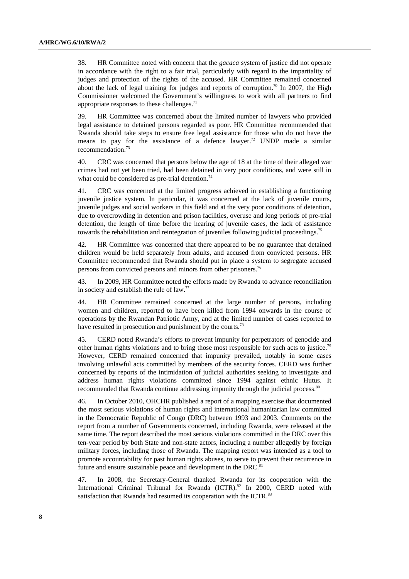38. HR Committee noted with concern that the *gacaca* system of justice did not operate in accordance with the right to a fair trial, particularly with regard to the impartiality of judges and protection of the rights of the accused. HR Committee remained concerned about the lack of legal training for judges and reports of corruption.<sup>70</sup> In 2007, the High Commissioner welcomed the Government's willingness to work with all partners to find appropriate responses to these challenges. $<sup>71</sup>$ </sup>

39. HR Committee was concerned about the limited number of lawyers who provided legal assistance to detained persons regarded as poor. HR Committee recommended that Rwanda should take steps to ensure free legal assistance for those who do not have the means to pay for the assistance of a defence lawyer.<sup>72</sup> UNDP made a similar recommendation.73

40. CRC was concerned that persons below the age of 18 at the time of their alleged war crimes had not yet been tried, had been detained in very poor conditions, and were still in what could be considered as pre-trial detention.<sup>74</sup>

41. CRC was concerned at the limited progress achieved in establishing a functioning juvenile justice system. In particular, it was concerned at the lack of juvenile courts, juvenile judges and social workers in this field and at the very poor conditions of detention, due to overcrowding in detention and prison facilities, overuse and long periods of pre-trial detention, the length of time before the hearing of juvenile cases, the lack of assistance towards the rehabilitation and reintegration of juveniles following judicial proceedings.<sup>75</sup>

42. HR Committee was concerned that there appeared to be no guarantee that detained children would be held separately from adults, and accused from convicted persons. HR Committee recommended that Rwanda should put in place a system to segregate accused persons from convicted persons and minors from other prisoners.76

43. In 2009, HR Committee noted the efforts made by Rwanda to advance reconciliation in society and establish the rule of law. $77$ 

44. HR Committee remained concerned at the large number of persons, including women and children, reported to have been killed from 1994 onwards in the course of operations by the Rwandan Patriotic Army, and at the limited number of cases reported to have resulted in prosecution and punishment by the courts.<sup>78</sup>

45. CERD noted Rwanda's efforts to prevent impunity for perpetrators of genocide and other human rights violations and to bring those most responsible for such acts to justice.<sup>79</sup> However, CERD remained concerned that impunity prevailed, notably in some cases involving unlawful acts committed by members of the security forces. CERD was further concerned by reports of the intimidation of judicial authorities seeking to investigate and address human rights violations committed since 1994 against ethnic Hutus. It recommended that Rwanda continue addressing impunity through the judicial process.<sup>80</sup>

46. In October 2010, OHCHR published a report of a mapping exercise that documented the most serious violations of human rights and international humanitarian law committed in the Democratic Republic of Congo (DRC) between 1993 and 2003. Comments on the report from a number of Governments concerned, including Rwanda, were released at the same time. The report described the most serious violations committed in the DRC over this ten-year period by both State and non-state actors, including a number allegedly by foreign military forces, including those of Rwanda. The mapping report was intended as a tool to promote accountability for past human rights abuses, to serve to prevent their recurrence in future and ensure sustainable peace and development in the DRC.<sup>81</sup>

47. In 2008, the Secretary-General thanked Rwanda for its cooperation with the International Criminal Tribunal for Rwanda (ICTR).<sup>82</sup> In 2000, CERD noted with satisfaction that Rwanda had resumed its cooperation with the ICTR.<sup>83</sup>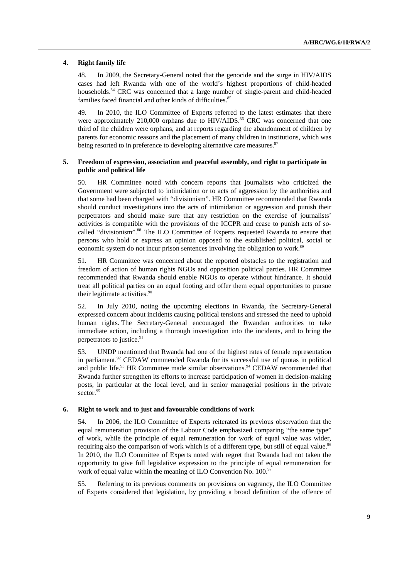#### **4. Right family life**

48. In 2009, the Secretary-General noted that the genocide and the surge in HIV/AIDS cases had left Rwanda with one of the world's highest proportions of child-headed households.<sup>84</sup> CRC was concerned that a large number of single-parent and child-headed families faced financial and other kinds of difficulties.<sup>85</sup>

49. In 2010, the ILO Committee of Experts referred to the latest estimates that there were approximately 210,000 orphans due to HIV/AIDS.<sup>86</sup> CRC was concerned that one third of the children were orphans, and at reports regarding the abandonment of children by parents for economic reasons and the placement of many children in institutions, which was being resorted to in preference to developing alternative care measures.<sup>87</sup>

#### **5. Freedom of expression, association and peaceful assembly, and right to participate in public and political life**

50. HR Committee noted with concern reports that journalists who criticized the Government were subjected to intimidation or to acts of aggression by the authorities and that some had been charged with "divisionism". HR Committee recommended that Rwanda should conduct investigations into the acts of intimidation or aggression and punish their perpetrators and should make sure that any restriction on the exercise of journalists' activities is compatible with the provisions of the ICCPR and cease to punish acts of socalled "divisionism".88 The ILO Committee of Experts requested Rwanda to ensure that persons who hold or express an opinion opposed to the established political, social or economic system do not incur prison sentences involving the obligation to work.<sup>89</sup>

51. HR Committee was concerned about the reported obstacles to the registration and freedom of action of human rights NGOs and opposition political parties. HR Committee recommended that Rwanda should enable NGOs to operate without hindrance. It should treat all political parties on an equal footing and offer them equal opportunities to pursue their legitimate activities.<sup>90</sup>

52. In July 2010, noting the upcoming elections in Rwanda, the Secretary-General expressed concern about incidents causing political tensions and stressed the need to uphold human rights. The Secretary-General encouraged the Rwandan authorities to take immediate action, including a thorough investigation into the incidents, and to bring the perpetrators to justice.<sup>91</sup>

53. UNDP mentioned that Rwanda had one of the highest rates of female representation in parliament.<sup>92</sup> CEDAW commended Rwanda for its successful use of quotas in political and public life. $93$  HR Committee made similar observations. $94$  CEDAW recommended that Rwanda further strengthen its efforts to increase participation of women in decision-making posts, in particular at the local level, and in senior managerial positions in the private sector.<sup>95</sup>

#### **6. Right to work and to just and favourable conditions of work**

54. In 2006, the ILO Committee of Experts reiterated its previous observation that the equal remuneration provision of the Labour Code emphasized comparing "the same type" of work, while the principle of equal remuneration for work of equal value was wider, requiring also the comparison of work which is of a different type, but still of equal value.<sup>96</sup> In 2010, the ILO Committee of Experts noted with regret that Rwanda had not taken the opportunity to give full legislative expression to the principle of equal remuneration for work of equal value within the meaning of ILO Convention No. 100.9

55. Referring to its previous comments on provisions on vagrancy, the ILO Committee of Experts considered that legislation, by providing a broad definition of the offence of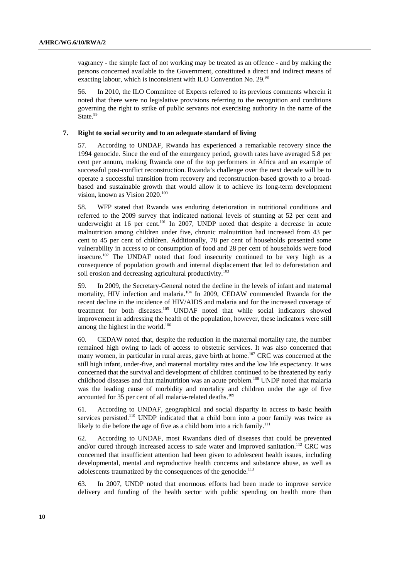vagrancy - the simple fact of not working may be treated as an offence - and by making the persons concerned available to the Government, constituted a direct and indirect means of exacting labour, which is inconsistent with ILO Convention No. 29.98

56. In 2010, the ILO Committee of Experts referred to its previous comments wherein it noted that there were no legislative provisions referring to the recognition and conditions governing the right to strike of public servants not exercising authority in the name of the State.<sup>99</sup>

#### **7. Right to social security and to an adequate standard of living**

57. According to UNDAF, Rwanda has experienced a remarkable recovery since the 1994 genocide. Since the end of the emergency period, growth rates have averaged 5.8 per cent per annum, making Rwanda one of the top performers in Africa and an example of successful post-conflict reconstruction. Rwanda's challenge over the next decade will be to operate a successful transition from recovery and reconstruction-based growth to a broadbased and sustainable growth that would allow it to achieve its long-term development vision, known as Vision 2020.<sup>100</sup>

58. WFP stated that Rwanda was enduring deterioration in nutritional conditions and referred to the 2009 survey that indicated national levels of stunting at 52 per cent and underweight at 16 per cent.<sup>101</sup> In 2007, UNDP noted that despite a decrease in acute malnutrition among children under five, chronic malnutrition had increased from 43 per cent to 45 per cent of children. Additionally, 78 per cent of households presented some vulnerability in access to or consumption of food and 28 per cent of households were food insecure.102 The UNDAF noted that food insecurity continued to be very high as a consequence of population growth and internal displacement that led to deforestation and soil erosion and decreasing agricultural productivity.<sup>103</sup>

59. In 2009, the Secretary-General noted the decline in the levels of infant and maternal mortality, HIV infection and malaria.<sup>104</sup> In 2009, CEDAW commended Rwanda for the recent decline in the incidence of HIV/AIDS and malaria and for the increased coverage of treatment for both diseases.<sup>105</sup> UNDAF noted that while social indicators showed improvement in addressing the health of the population, however, these indicators were still among the highest in the world.<sup>106</sup>

60. CEDAW noted that, despite the reduction in the maternal mortality rate, the number remained high owing to lack of access to obstetric services. It was also concerned that many women, in particular in rural areas, gave birth at home.<sup>107</sup> CRC was concerned at the still high infant, under-five, and maternal mortality rates and the low life expectancy. It was concerned that the survival and development of children continued to be threatened by early childhood diseases and that malnutrition was an acute problem.<sup>108</sup> UNDP noted that malaria was the leading cause of morbidity and mortality and children under the age of five accounted for 35 per cent of all malaria-related deaths.<sup>109</sup>

61. According to UNDAF, geographical and social disparity in access to basic health services persisted.<sup>110</sup> UNDP indicated that a child born into a poor family was twice as likely to die before the age of five as a child born into a rich family.<sup>111</sup>

62. According to UNDAF, most Rwandans died of diseases that could be prevented and/or cured through increased access to safe water and improved sanitation.<sup>112</sup> CRC was concerned that insufficient attention had been given to adolescent health issues, including developmental, mental and reproductive health concerns and substance abuse, as well as adolescents traumatized by the consequences of the genocide.<sup>113</sup>

63. In 2007, UNDP noted that enormous efforts had been made to improve service delivery and funding of the health sector with public spending on health more than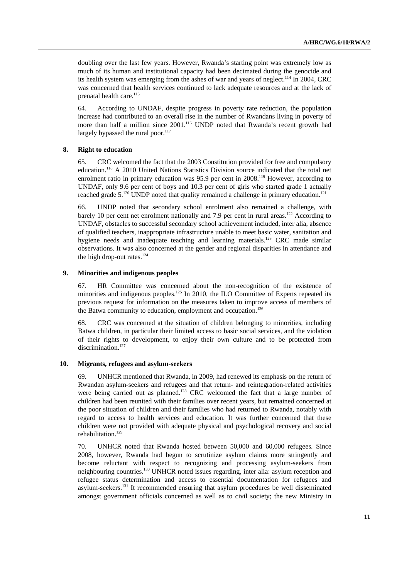doubling over the last few years. However, Rwanda's starting point was extremely low as much of its human and institutional capacity had been decimated during the genocide and its health system was emerging from the ashes of war and years of neglect.<sup>114</sup> In 2004, CRC was concerned that health services continued to lack adequate resources and at the lack of prenatal health care.<sup>115</sup>

64. According to UNDAF, despite progress in poverty rate reduction, the population increase had contributed to an overall rise in the number of Rwandans living in poverty of more than half a million since 2001.<sup>116</sup> UNDP noted that Rwanda's recent growth had largely bypassed the rural poor.<sup>117</sup>

#### **8. Right to education**

65. CRC welcomed the fact that the 2003 Constitution provided for free and compulsory education.118 A 2010 United Nations Statistics Division source indicated that the total net enrolment ratio in primary education was 95.9 per cent in 2008.<sup>119</sup> However, according to UNDAF, only 9.6 per cent of boys and 10.3 per cent of girls who started grade 1 actually reached grade  $5^{120}$  UNDP noted that quality remained a challenge in primary education.<sup>121</sup>

66. UNDP noted that secondary school enrolment also remained a challenge, with barely 10 per cent net enrolment nationally and 7.9 per cent in rural areas.<sup>122</sup> According to UNDAF, obstacles to successful secondary school achievement included, inter alia, absence of qualified teachers, inappropriate infrastructure unable to meet basic water, sanitation and hygiene needs and inadequate teaching and learning materials.<sup>123</sup> CRC made similar observations. It was also concerned at the gender and regional disparities in attendance and the high drop-out rates. $124$ 

#### **9. Minorities and indigenous peoples**

67. HR Committee was concerned about the non-recognition of the existence of minorities and indigenous peoples.<sup>125</sup> In 2010, the ILO Committee of Experts repeated its previous request for information on the measures taken to improve access of members of the Batwa community to education, employment and occupation.<sup>126</sup>

68. CRC was concerned at the situation of children belonging to minorities, including Batwa children, in particular their limited access to basic social services, and the violation of their rights to development, to enjoy their own culture and to be protected from discrimination.<sup>127</sup>

#### **10. Migrants, refugees and asylum-seekers**

69. UNHCR mentioned that Rwanda, in 2009, had renewed its emphasis on the return of Rwandan asylum-seekers and refugees and that return- and reintegration-related activities were being carried out as planned.<sup>128</sup> CRC welcomed the fact that a large number of children had been reunited with their families over recent years, but remained concerned at the poor situation of children and their families who had returned to Rwanda, notably with regard to access to health services and education. It was further concerned that these children were not provided with adequate physical and psychological recovery and social rehabilitation.129

70. UNHCR noted that Rwanda hosted between 50,000 and 60,000 refugees. Since 2008, however, Rwanda had begun to scrutinize asylum claims more stringently and become reluctant with respect to recognizing and processing asylum-seekers from neighbouring countries.130 UNHCR noted issues regarding, inter alia: asylum reception and refugee status determination and access to essential documentation for refugees and asylum-seekers.131 It recommended ensuring that asylum procedures be well disseminated amongst government officials concerned as well as to civil society; the new Ministry in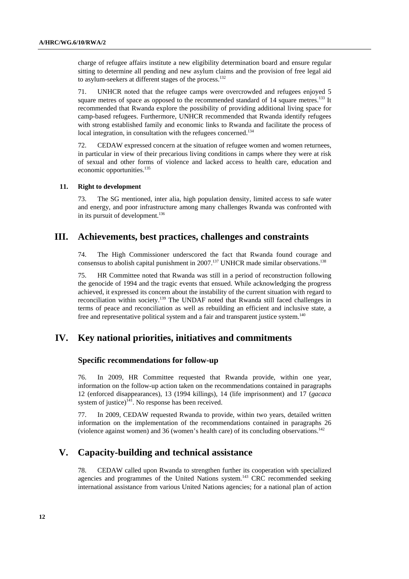charge of refugee affairs institute a new eligibility determination board and ensure regular sitting to determine all pending and new asylum claims and the provision of free legal aid to asylum-seekers at different stages of the process.<sup>132</sup>

71. UNHCR noted that the refugee camps were overcrowded and refugees enjoyed 5 square metres of space as opposed to the recommended standard of  $14$  square metres.<sup>133</sup> It recommended that Rwanda explore the possibility of providing additional living space for camp-based refugees. Furthermore, UNHCR recommended that Rwanda identify refugees with strong established family and economic links to Rwanda and facilitate the process of local integration, in consultation with the refugees concerned.<sup>134</sup>

72. CEDAW expressed concern at the situation of refugee women and women returnees, in particular in view of their precarious living conditions in camps where they were at risk of sexual and other forms of violence and lacked access to health care, education and economic opportunities.<sup>135</sup>

#### **11. Right to development**

73. The SG mentioned, inter alia, high population density, limited access to safe water and energy, and poor infrastructure among many challenges Rwanda was confronted with in its pursuit of development.<sup>136</sup>

## **III. Achievements, best practices, challenges and constraints**

74. The High Commissioner underscored the fact that Rwanda found courage and consensus to abolish capital punishment in  $2007$ .<sup>137</sup> UNHCR made similar observations.<sup>138</sup>

75. HR Committee noted that Rwanda was still in a period of reconstruction following the genocide of 1994 and the tragic events that ensued. While acknowledging the progress achieved, it expressed its concern about the instability of the current situation with regard to reconciliation within society.139 The UNDAF noted that Rwanda still faced challenges in terms of peace and reconciliation as well as rebuilding an efficient and inclusive state, a free and representative political system and a fair and transparent justice system.<sup>140</sup>

### **IV. Key national priorities, initiatives and commitments**

#### **Specific recommendations for follow-up**

76. In 2009, HR Committee requested that Rwanda provide, within one year, information on the follow-up action taken on the recommendations contained in paragraphs 12 (enforced disappearances), 13 (1994 killings), 14 (life imprisonment) and 17 (*gacaca* system of justice) $141$ . No response has been received.

77. In 2009, CEDAW requested Rwanda to provide, within two years, detailed written information on the implementation of the recommendations contained in paragraphs 26 (violence against women) and 36 (women's health care) of its concluding observations.142

## **V. Capacity-building and technical assistance**

78. CEDAW called upon Rwanda to strengthen further its cooperation with specialized agencies and programmes of the United Nations system.<sup>143</sup> CRC recommended seeking international assistance from various United Nations agencies; for a national plan of action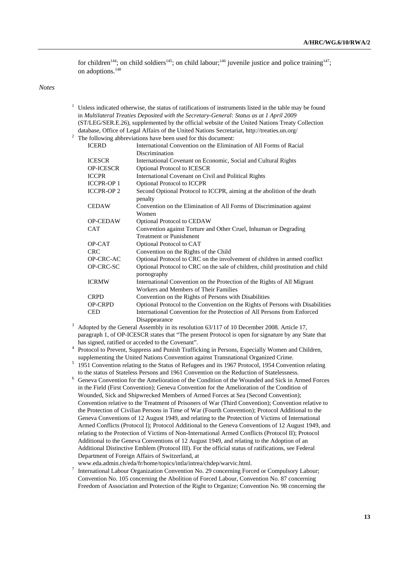for children<sup>144</sup>; on child soldiers<sup>145</sup>; on child labour;<sup>146</sup> juvenile justice and police training<sup>147</sup>; on adoptions.<sup>148</sup>

*Notes* 

- <sup>1</sup> Unless indicated otherwise, the status of ratifications of instruments listed in the table may be found in *Multilateral Treaties Deposited with the Secretary-General: Status as at 1 April 2009* (ST/LEG/SER.E.26), supplemented by the official website of the United Nations Treaty Collection database, Office of Legal Affairs of the United Nations Secretariat, http://treaties.un.org/ 2
- $2\degree$  The following abbreviations have been used for this document:

| <b>ICERD</b>     | International Convention on the Elimination of All Forms of Racial                        |
|------------------|-------------------------------------------------------------------------------------------|
|                  | Discrimination                                                                            |
| <b>ICESCR</b>    | International Covenant on Economic, Social and Cultural Rights                            |
| <b>OP-ICESCR</b> | <b>Optional Protocol to ICESCR</b>                                                        |
| <b>ICCPR</b>     | International Covenant on Civil and Political Rights                                      |
| <b>ICCPR-OP1</b> | <b>Optional Protocol to ICCPR</b>                                                         |
| <b>ICCPR-OP2</b> | Second Optional Protocol to ICCPR, aiming at the abolition of the death                   |
|                  | penalty                                                                                   |
| <b>CEDAW</b>     | Convention on the Elimination of All Forms of Discrimination against                      |
|                  | Women                                                                                     |
| OP-CEDAW         | Optional Protocol to CEDAW                                                                |
| <b>CAT</b>       | Convention against Torture and Other Cruel, Inhuman or Degrading                          |
|                  | <b>Treatment or Punishment</b>                                                            |
| OP-CAT           | Optional Protocol to CAT                                                                  |
| <b>CRC</b>       | Convention on the Rights of the Child                                                     |
| OP-CRC-AC        | Optional Protocol to CRC on the involvement of children in armed conflict                 |
| OP-CRC-SC        | Optional Protocol to CRC on the sale of children, child prostitution and child            |
|                  | pornography                                                                               |
| <b>ICRMW</b>     | International Convention on the Protection of the Rights of All Migrant                   |
|                  | Workers and Members of Their Families                                                     |
| <b>CRPD</b>      | Convention on the Rights of Persons with Disabilities                                     |
| <b>OP-CRPD</b>   | Optional Protocol to the Convention on the Rights of Persons with Disabilities            |
| <b>CED</b>       | International Convention for the Protection of All Persons from Enforced                  |
|                  | Disappearance                                                                             |
|                  | Adopted by the General Assembly in its resolution 63/117 of 10 December 2008. Article 17, |

- paragraph 1, of OP-ICESCR states that "The present Protocol is open for signature by any State that has signed, ratified or acceded to the Covenant".<br>4 Decreed to Drawart, Suppress and Bunish Traffic
- Protocol to Prevent, Suppress and Punish Trafficking in Persons, Especially Women and Children, supplementing the United Nations Convention against Transnational Organized Crime.
- <sup>5</sup> 1951 Convention relating to the Status of Refugees and its 1967 Protocol, 1954 Convention relating to the status of Stateless Persons and 1961 Convention on the Reduction of Statelessness.
- <sup>6</sup> Geneva Convention for the Amelioration of the Condition of the Wounded and Sick in Armed Forces in the Field (First Convention); Geneva Convention for the Amelioration of the Condition of Wounded, Sick and Shipwrecked Members of Armed Forces at Sea (Second Convention); Convention relative to the Treatment of Prisoners of War (Third Convention); Convention relative to the Protection of Civilian Persons in Time of War (Fourth Convention); Protocol Additional to the Geneva Conventions of 12 August 1949, and relating to the Protection of Victims of International Armed Conflicts (Protocol I); Protocol Additional to the Geneva Conventions of 12 August 1949, and relating to the Protection of Victims of Non-International Armed Conflicts (Protocol II); Protocol Additional to the Geneva Conventions of 12 August 1949, and relating to the Adoption of an Additional Distinctive Emblem (Protocol III). For the official status of ratifications, see Federal Department of Foreign Affairs of Switzerland, at
- www.eda.admin.ch/eda/fr/home/topics/intla/intrea/chdep/warvic.html. 7
- International Labour Organization Convention No. 29 concerning Forced or Compulsory Labour; Convention No. 105 concerning the Abolition of Forced Labour, Convention No. 87 concerning Freedom of Association and Protection of the Right to Organize; Convention No. 98 concerning the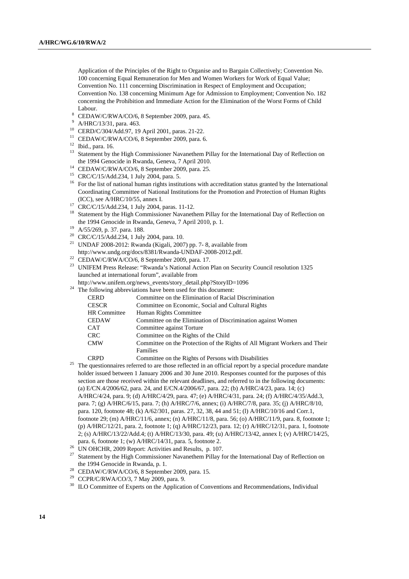Application of the Principles of the Right to Organise and to Bargain Collectively; Convention No. 100 concerning Equal Remuneration for Men and Women Workers for Work of Equal Value; Convention No. 111 concerning Discrimination in Respect of Employment and Occupation; Convention No. 138 concerning Minimum Age for Admission to Employment; Convention No. 182 concerning the Prohibition and Immediate Action for the Elimination of the Worst Forms of Child Labour.

<sup>8</sup> CEDAW/C/RWA/CO/6, 8 September 2009, para. 45.<br>9 A/HBC/13/31, para. 463

- <sup>9</sup> A/HRC/13/31, para. 463.<br><sup>10</sup> CERD/C/304/Add.97, 19 April 2001, paras. 21-22.
- <sup>11</sup> CEDAW/C/RWA/CO/6, 8 September 2009, para. 6. <sup>12</sup> Ibid., para. 16.
- 
- <sup>13</sup> Statement by the High Commissioner Navanethem Pillay for the International Day of Reflection on the 1994 Genocide in Rwanda, Geneva, 7 April 2010.<br>
<sup>14</sup> CEDAW/C/RWA/CO/6, 8 September 2009, para. 25.<br>
<sup>15</sup> CRC/C/15/Add.234, 1 July 2004, para. 5.
- 
- 
- <sup>16</sup> For the list of national human rights institutions with accreditation status granted by the International Coordinating Committee of National Institutions for the Promotion and Protection of Human Rights
- (ICC), see A/HRC/10/55, annex I.<br><sup>17</sup> CRC/C/15/Add.234, 1 July 2004, paras. 11-12.
- <sup>18</sup> Statement by the High Commissioner Navanethem Pillay for the International Day of Reflection on the 1994 Genocide in Rwanda, Geneva, 7 April 2010, p. 1.<br><sup>19</sup> A/55/269, p. 37. para. 188.
- 
- 20 CRC/C/15/Add.234, 1 July 2004, para. 10.
- 21 UNDAF 2008-2012: Rwanda (Kigali, 2007) pp. 7- 8, available from
- 
- http://www.undg.org/docs/8381/Rwanda-UNDAF-2008-2012.pdf.<br><sup>22</sup> CEDAW/C/RWA/CO/6, 8 September 2009, para. 17.<br><sup>23</sup> UNIFEM Press Release: "Rwanda's National Action Plan on Security Council resolution 1325 launched at international forum", available from
- http://www.unifem.org/news\_events/story\_detail.php?StoryID=1096 24 The following abbreviations have been used for this document:
- 

| CERD                | Committee on the Elimination of Racial Discrimination                      |
|---------------------|----------------------------------------------------------------------------|
| CESCR               | Committee on Economic, Social and Cultural Rights                          |
| <b>HR Committee</b> | Human Rights Committee                                                     |
| CEDAW               | Committee on the Elimination of Discrimination against Women               |
| CAT                 | Committee against Torture                                                  |
| CRC                 | Committee on the Rights of the Child                                       |
| CMW                 | Committee on the Protection of the Rights of All Migrant Workers and Their |
|                     | Families                                                                   |
| CDDD                | Committee on the Pights of Dersons with Disphilities                       |

- CRPD Committee on the Rights of Persons with Disabilities<br><sup>25</sup> The questionnaires referred to are those reflected in an official report by a special procedure mandate holder issued between 1 January 2006 and 30 June 2010. Responses counted for the purposes of this section are those received within the relevant deadlines, and referred to in the following documents: (a) E/CN.4/2006/62, para. 24, and E/CN.4/2006/67, para. 22; (b) A/HRC/4/23, para. 14; (c) A/HRC/4/24, para. 9; (d) A/HRC/4/29, para. 47; (e) A/HRC/4/31, para. 24; (f) A/HRC/4/35/Add.3, para. 7; (g) A/HRC/6/15, para. 7; (h) A/HRC/7/6, annex; (i) A/HRC/7/8, para. 35; (j) A/HRC/8/10, para. 120, footnote 48; (k) A/62/301, paras. 27, 32, 38, 44 and 51; (l) A/HRC/10/16 and Corr.1, footnote 29; (m) A/HRC/11/6, annex; (n) A/HRC/11/8, para. 56; (o) A/HRC/11/9, para. 8, footnote 1; (p) A/HRC/12/21, para. 2, footnote 1; (q) A/HRC/12/23, para. 12; (r) A/HRC/12/31, para. 1, footnote 2; (s) A/HRC/13/22/Add.4; (t) A/HRC/13/30, para. 49; (u) A/HRC/13/42, annex I; (v) A/HRC/14/25,
- para. 6, footnote 1; (w) A/HRC/14/31, para. 5, footnote 2.<br><sup>26</sup> UN OHCHR, 2009 Report: Activities and Results, p. 107.<br><sup>27</sup> Statement by the High Commissioner Navanatham Billay f
- 
- Statement by the High Commissioner Navanethem Pillay for the International Day of Reflection on the 1994 Genocide in Rwanda, p. 1.<br><sup>28</sup> CEDAW/C/RWA/CO/6, 8 September 2009, para. 15.<br><sup>29</sup> CCPR/C/RWA/CO/3, 7 May 2009, para. 9.
- 
- 
- <sup>30</sup> ILO Committee of Experts on the Application of Conventions and Recommendations, Individual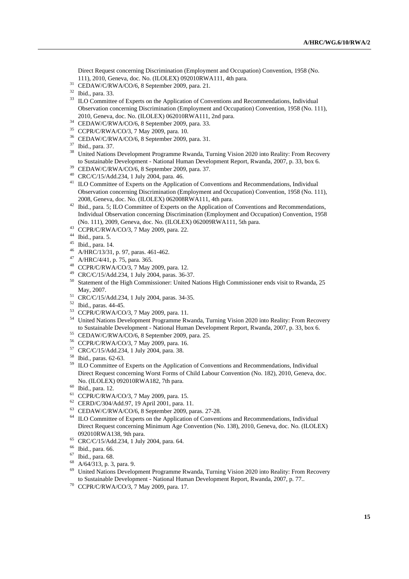Direct Request concerning Discrimination (Employment and Occupation) Convention, 1958 (No. 111), 2010, Geneva, doc. No. (ILOLEX) 092010RWA111, 4th para. 31 CEDAW/C/RWA/CO/6, 8 September 2009, para. 21. 32 Ibid., para. 33.

- <sup>33</sup> ILO Committee of Experts on the Application of Conventions and Recommendations, Individual Observation concerning Discrimination (Employment and Occupation) Convention, 1958 (No. 111), 2010, Geneva, doc. No. (ILOLEX) 062010RWA111, 2nd para. 34 CEDAW/C/RWA/CO/6, 8 September 2009, para. 33. 35 CCPR/C/RWA/CO/3, 7 May 2009, para. 10.
- 
- 
- <sup>36</sup> CEDAW/C/RWA/CO/6, 8 September 2009, para. 31.<br><sup>37</sup> Ibid., para. 37.
- 
- <sup>38</sup> United Nations Development Programme Rwanda, Turning Vision 2020 into Reality: From Recovery to Sustainable Development - National Human Development Report, Rwanda, 2007, p. 33, box 6.<br><sup>39</sup> CEDAW/C/RWA/CO/6, 8 September 2009, para. 37.<br><sup>40</sup> CRC/C/15/Add.234, 1 July 2004, para. 46.
- 
- 
- <sup>41</sup> ILO Committee of Experts on the Application of Conventions and Recommendations, Individual Observation concerning Discrimination (Employment and Occupation) Convention, 1958 (No. 111),
- 2008, Geneva, doc. No. (ILOLEX) 062008RWA111, 4th para. 42 Ibid., para. 5; ILO Committee of Experts on the Application of Conventions and Recommendations, Individual Observation concerning Discrimination (Employment and Occupation) Convention, 1958 (No. 111), 2009, Geneva, doc. No. (ILOLEX) 062009RWA111, 5th para. 43 CCPR/C/RWA/CO/3, 7 May 2009, para. 22.
- 
- 44 Ibid., para. 5.
- 45 Ibid., para. 14.
- A/HRC/13/31, p. 97, paras. 461-462.
- 47 A/HRC/4/41, p. 75, para. 365.
- 48 CCPR/C/RWA/CO/3, 7 May 2009, para. 12.
- 49 CRC/C/15/Add.234, 1 July 2004, paras. 36-37.
- <sup>50</sup> Statement of the High Commissioner: United Nations High Commissioner ends visit to Rwanda, 25 May, 2007.<br><sup>51</sup> CRC/C/15/Add.234, 1 July 2004, paras. 34-35.
- 
- 52 Ibid., paras. 44-45.
- 53 CCPR/C/RWA/CO/3, 7 May 2009, para. 11.
- <sup>54</sup> United Nations Development Programme Rwanda, Turning Vision 2020 into Reality: From Recovery to Sustainable Development - National Human Development Report, Rwanda, 2007, p. 33, box 6.<br>55 CEDAW/C/RWA/CO/6, 8 September 2009, para. 25.<br>56 CCPR/C/RWA/CO/3, 7 May 2009, para. 16.
- 
- 
- 57 CRC/C/15/Add.234, 1 July 2004, para. 38.
- 58 Ibid., paras. 62-63.
- <sup>59</sup> ILO Committee of Experts on the Application of Conventions and Recommendations, Individual Direct Request concerning Worst Forms of Child Labour Convention (No. 182), 2010, Geneva, doc. No. (ILOLEX) 092010RWA182, 7th para. 60 Ibid., para. 12.
- 
- 
- <sup>61</sup> CCPR/C/RWA/CO/3, 7 May 2009, para. 15.<br><sup>62</sup> CERD/C/304/Add.97, 19 April 2001, para. 11.
- 
- <sup>63</sup> CEDAW/C/RWA/CO/6, 8 September 2009, paras. 27-28.<br><sup>64</sup> ILO Committee of Experts on the Application of Conventions and Recommendations, Individual Direct Request concerning Minimum Age Convention (No. 138), 2010, Geneva, doc. No. (ILOLEX) 092010RWA138, 9th para. 65 CRC/C/15/Add.234, 1 July 2004, para. 64.
- 
- 66 Ibid., para. 66.
- 67 Ibid., para. 68.
- $^{68}$  A/64/313, p. 3, para. 9.
- 69 United Nations Development Programme Rwanda, Turning Vision 2020 into Reality: From Recovery to Sustainable Development - National Human Development Report, Rwanda, 2007, p. 77.. 70 CCPR/C/RWA/CO/3, 7 May 2009, para. 17.
-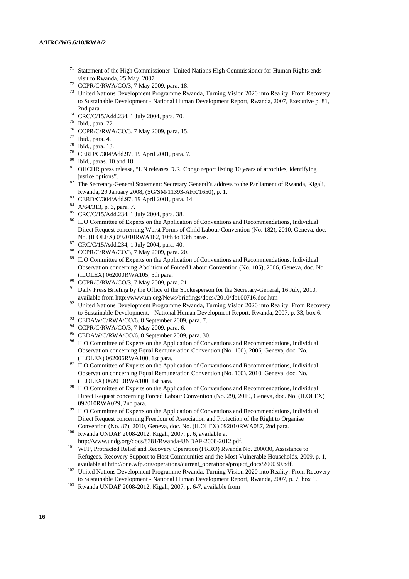- 71 Statement of the High Commissioner: United Nations High Commissioner for Human Rights ends visit to Rwanda, 25 May, 2007.<br>CCPR/C/RWA/CO/3, 7 May 2009, para. 18.
- 
- <sup>73</sup> United Nations Development Programme Rwanda, Turning Vision 2020 into Reality: From Recovery to Sustainable Development - National Human Development Report, Rwanda, 2007, Executive p. 81,
- 2nd para. 74 CRC/C/15/Add.234, 1 July 2004, para. 70.
- $^{75}$  Ibid., para. 72.
- CCPR/C/RWA/CO/3, 7 May 2009, para. 15.
- 77 Ibid., para. 4.
- 78 Ibid., para. 13.
- <sup>79</sup> CERD/C/304/Add.97, 19 April 2001, para. 7.<br><sup>80</sup> Ibid., paras. 10 and 18.
- 
- <sup>81</sup> OHCHR press release, "UN releases D.R. Congo report listing 10 years of atrocities, identifying
- justice options". 82 The Secretary-General Statement: Secretary General's address to the Parliament of Rwanda, Kigali, Rwanda, 29 January 2008, (SG/SM/11393-AFR/1650), p. 1. 83 CERD/C/304/Add.97, 19 April 2001, para. 14. 84 A/64/313, p. 3, para. 7.
- 
- 
- 85 CRC/C/15/Add.234, 1 July 2004, para. 38.
- <sup>86</sup> ILO Committee of Experts on the Application of Conventions and Recommendations, Individual Direct Request concerning Worst Forms of Child Labour Convention (No. 182), 2010, Geneva, doc.
- No. (ILOLEX) 092010RWA182, 10th to 13th paras. 87 CRC/C/15/Add.234, 1 July 2004, para. 40.
- 88 CCPR/C/RWA/CO/3, 7 May 2009, para. 20.
- <sup>89</sup> ILO Committee of Experts on the Application of Conventions and Recommendations, Individual Observation concerning Abolition of Forced Labour Convention (No. 105), 2006, Geneva, doc. No. (ILOLEX) 062000RWA105, 5th para.<br>  $^{90}$  CCPR/C/RWA/CO/3, 7 May 2009, para. 21.<br>  $^{91}$  Drill: Paras Diigna by the Office of the Spa
- 
- Daily Press Briefing by the Office of the Spokesperson for the Secretary-General, 16 July, 2010,
- available from http://www.un.org/News/briefings/docs//2010/db100716.doc.htm 92 United Nations Development Programme Rwanda, Turning Vision 2020 into Reality: From Recovery to Sustainable Development. - National Human Development Report, Rwanda, 2007, p. 33, box 6.<br>
<sup>93</sup> CEDAW/C/RWA/CO/6, 8 September 2009, para. 7.<br>
<sup>94</sup> CCPR/C/RWA/CO/3, 7 May 2009, para. 6.<br>
<sup>95</sup> CEDAW/C/RWA/CO/6, 8 Septembe
- 
- 
- 
- <sup>96</sup> ILO Committee of Experts on the Application of Conventions and Recommendations, Individual Observation concerning Equal Remuneration Convention (No. 100), 2006, Geneva, doc. No.
- (ILOLEX) 062006RWA100, 1st para.<br><sup>97</sup> ILO Committee of Experts on the Application of Conventions and Recommendations, Individual Observation concerning Equal Remuneration Convention (No. 100), 2010, Geneva, doc. No.
- (ILOLEX) 062010RWA100, 1st para. 98 ILO Committee of Experts on the Application of Conventions and Recommendations, Individual Direct Request concerning Forced Labour Convention (No. 29), 2010, Geneva, doc. No. (ILOLEX)
- 092010RWA029, 2nd para.<br><sup>99</sup> ILO Committee of Experts on the Application of Conventions and Recommendations, Individual Direct Request concerning Freedom of Association and Protection of the Right to Organise
- Convention (No. 87), 2010, Geneva, doc. No. (ILOLEX) 092010RWA087, 2nd para. 100 Rwanda UNDAF 2008-2012, Kigali, 2007, p. 6, available at
- http://www.undg.org/docs/8381/Rwanda-UNDAF-2008-2012.pdf. 101 WFP, Protracted Relief and Recovery Operation (PRRO) Rwanda No. 200030, Assistance to Refugees, Recovery Support to Host Communities and the Most Vulnerable Households, 2009, p. 1,
- available at http://one.wfp.org/operations/current\_operations/project\_docs/200030.pdf. 102 United Nations Development Programme Rwanda, Turning Vision 2020 into Reality: From Recovery to Sustainable Development - National Human Development Report, Rwanda, 2007, p. 7, box 1. 103 Rwanda UNDAF 2008-2012, Kigali, 2007, p. 6-7, available from
-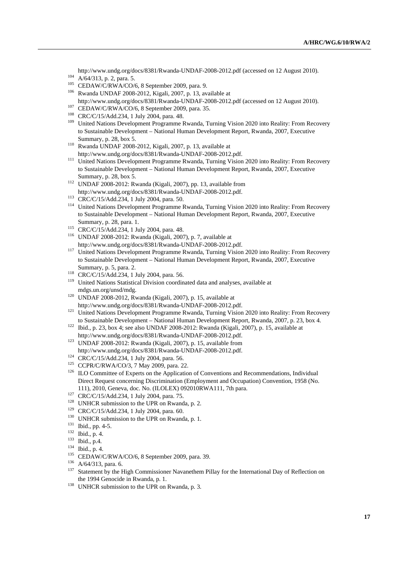http://www.undg.org/docs/8381/Rwanda-UNDAF-2008-2012.pdf (accessed on 12 August 2010).<br>
A/64/313, p. 2, para. 5.<br>
CEDAW/C/RWA/CO/6, 8 September 2009, para. 9.<br>
<sup>105</sup> Rwanda UNDAF 2008-2012, Kigali, 2007, p. 13, available a

- 
- 
- 
- http://www.undg.org/docs/8381/Rwanda-UNDAF-2008-2012.pdf (accessed on 12 August 2010).<br>
CEDAW/C/RWA/CO/6, 8 September 2009, para. 35.<br>
CRC/C/15/Add.234, 1 July 2004, para. 48.<br>
United Nations Development Programme Rwanda,
- 
- 
- to Sustainable Development National Human Development Report, Rwanda, 2007, Executive
- Summary, p. 28, box 5. 110 Rwanda UNDAF 2008-2012, Kigali, 2007, p. 13, available at
- http://www.undg.org/docs/8381/Rwanda-UNDAF-2008-2012.pdf. 111 United Nations Development Programme Rwanda, Turning Vision 2020 into Reality: From Recovery to Sustainable Development – National Human Development Report, Rwanda, 2007, Executive
- Summary, p. 28, box 5.<br><sup>112</sup> UNDAF 2008-2012: Rwanda (Kigali, 2007), pp. 13, available from
- 
- http://www.undg.org/docs/8381/Rwanda-UNDAF-2008-2012.pdf.<br>
<sup>113</sup> CRC/C/15/Add.234, 1 July 2004, para. 50.<br>
<sup>114</sup> United Nations Development Programme Rwanda, Turning Vision 2020 into Reality: From Recovery to Sustainable Development – National Human Development Report, Rwanda, 2007, Executive
- 
- Summary, p. 28, para. 1. 115 CRC/C/15/Add.234, 1 July 2004, para. 48. 116 UNDAF 2008-2012: Rwanda (Kigali, 2007), p. 7, available at
- http://www.undg.org/docs/8381/Rwanda-UNDAF-2008-2012.pdf. 117 United Nations Development Programme Rwanda, Turning Vision 2020 into Reality: From Recovery to Sustainable Development – National Human Development Report, Rwanda, 2007, Executive
- 
- Summary, p. 5, para. 2.<br><sup>118</sup> CRC/C/15/Add.234, 1 July 2004, para. 56.<br><sup>119</sup> United Nations Statistical Division coordinated data and analyses, available at
- mdgs.un.org/unsd/mdg. 120 UNDAF 2008-2012, Rwanda (Kigali, 2007), p. 15, available at
- http://www.undg.org/docs/8381/Rwanda-UNDAF-2008-2012.pdf. 121 United Nations Development Programme Rwanda, Turning Vision 2020 into Reality: From Recovery
- to Sustainable Development National Human Development Report, Rwanda, 2007, p. 23, box 4. 122 Ibid., p. 23, box 4; see also UNDAF 2008-2012: Rwanda (Kigali, 2007), p. 15, available at
- http://www.undg.org/docs/8381/Rwanda-UNDAF-2008-2012.pdf. 123 UNDAF 2008-2012: Rwanda (Kigali, 2007), p. 15, available from
- 
- 
- http://www.undg.org/docs/8381/Rwanda-UNDAF-2008-2012.pdf.<br>
<sup>124</sup> CRC/C/15/Add.234, 1 July 2004, para. 56.<br>
<sup>125</sup> CCPR/C/RWA/CO/3, 7 May 2009, para. 22.<br>
<sup>126</sup> ILO Committee of Experts on the Application of Conventions and Direct Request concerning Discrimination (Employment and Occupation) Convention, 1958 (No.
- 
- 
- 
- 
- 
- 
- 
- 
- 
- 
- 111), 2010, Geneva, doc. No. (ILOLEX) 092010RWA111, 7th para.<br>
<sup>127</sup> CRC/C/15/Add.234, 1 July 2004, para. 75.<br>
<sup>128</sup> UNHCR submission to the UPR on Rwanda, p. 2.<br>
<sup>129</sup> CRC/C/15/Add.234, 1 July 2004, para. 60.<br>
<sup>130</sup> LUNH the 1994 Genocide in Rwanda, p. 1.<br><sup>138</sup> UNHCR submission to the UPR on Rwanda, p. 3.
-